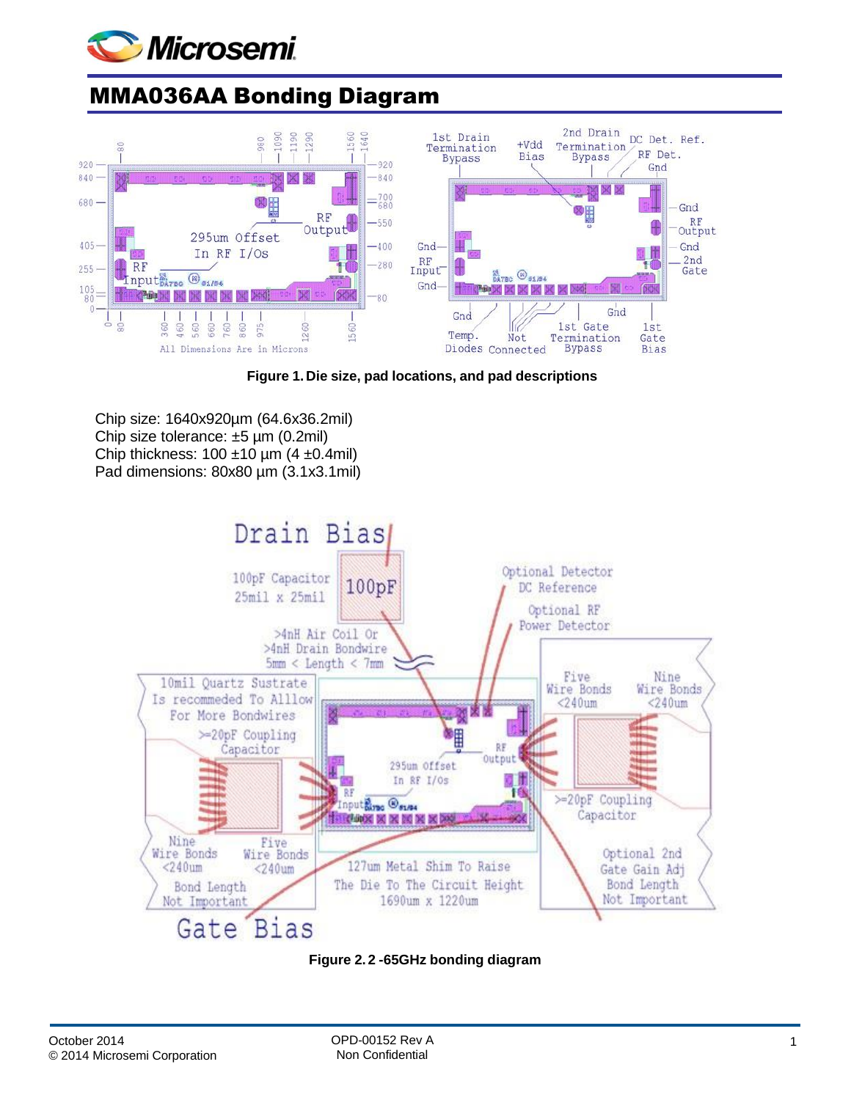

## MMA036AA Bonding Diagram



**Figure 1.Die size, pad locations, and pad descriptions**

Chip size: 1640x920µm (64.6x36.2mil) Chip size tolerance: ±5 µm (0.2mil) Chip thickness:  $100 \pm 10 \mu m$  (4  $\pm 0.4$ mil) Pad dimensions: 80x80 µm (3.1x3.1mil)



**Figure 2. 2 -65GHz bonding diagram**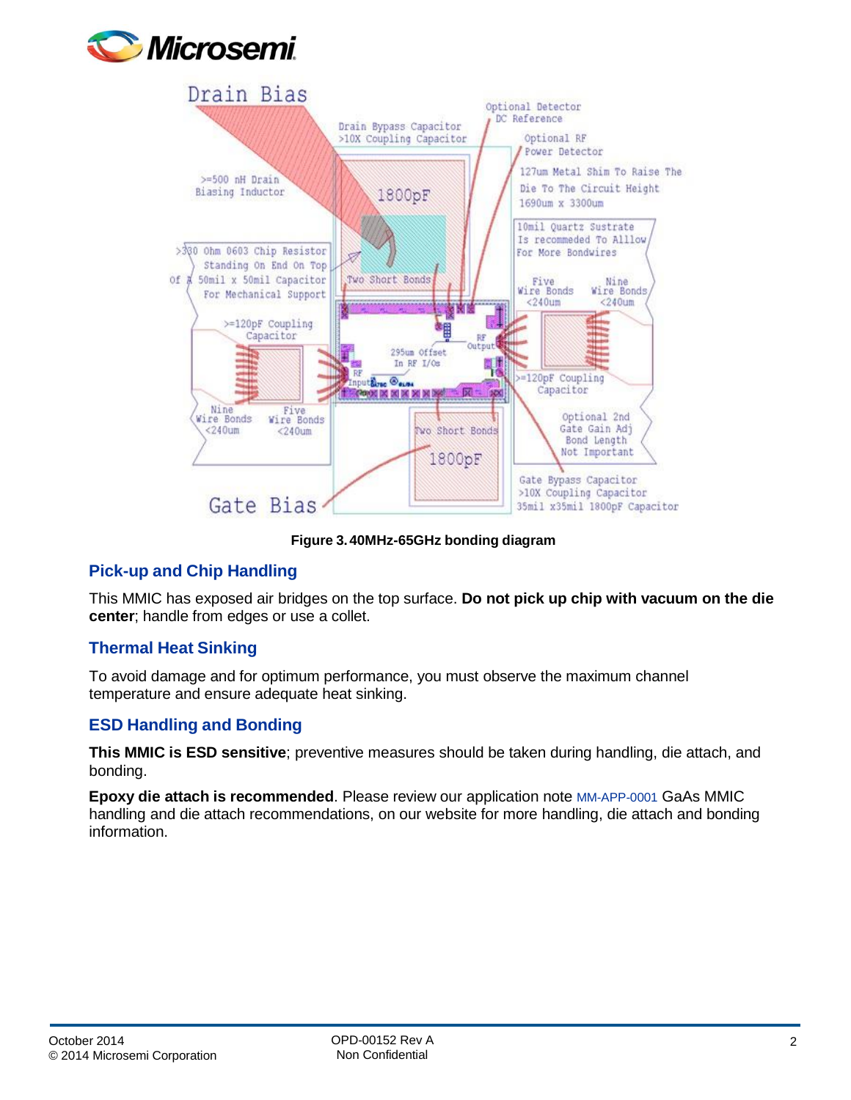



**Figure 3.40MHz-65GHz bonding diagram**

## **Pick-up and Chip Handling**

This MMIC has exposed air bridges on the top surface. **Do not pick up chip with vacuum on the die center**; handle from edges or use a collet.

## **Thermal Heat Sinking**

To avoid damage and for optimum performance, you must observe the maximum channel temperature and ensure adequate heat sinking.

## **ESD Handling and Bonding**

**This MMIC is ESD sensitive**; preventive measures should be taken during handling, die attach, and bonding.

**Epoxy die attach is recommended**. Please review our application note [MM-APP-0001](http://www.microsemi.com/document-portal/doc_download/133886-mm-app-0001-die-handling-application-note) GaAs MMIC handling and die attach recommendations, on our website for more handling, die attach and bonding information.